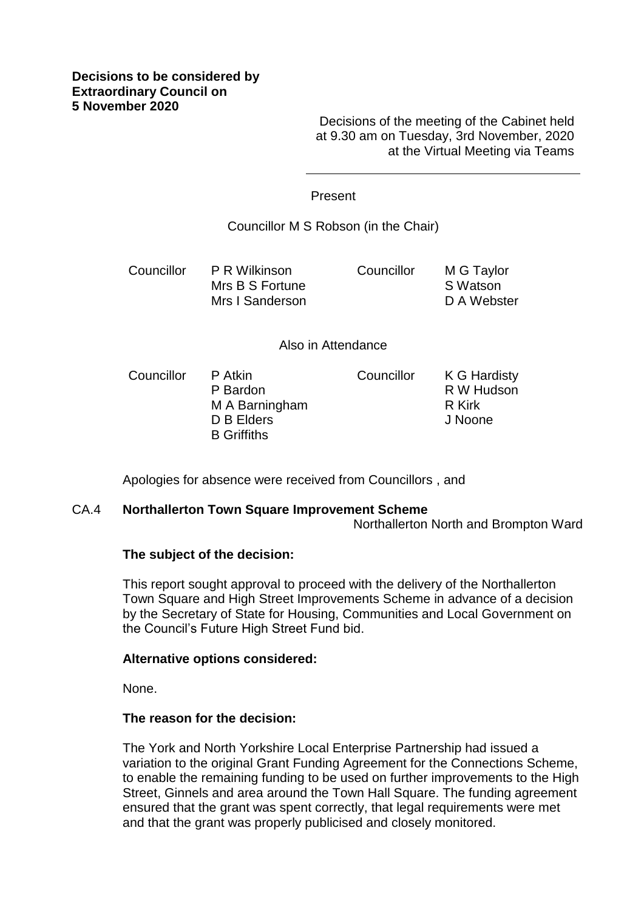Decisions of the meeting of the Cabinet held at 9.30 am on Tuesday, 3rd November, 2020 at the Virtual Meeting via Teams

## Present

# Councillor M S Robson (in the Chair)

Councillor P R Wilkinson Mrs B S Fortune Mrs I Sanderson Councillor M G Taylor S Watson D A Webster

### Also in Attendance

Councillor P Atkin P Bardon M A Barningham D B Elders B Griffiths Councillor K G Hardisty R W Hudson R Kirk J Noone

Apologies for absence were received from Councillors , and

### CA.4 **Northallerton Town Square Improvement Scheme**

Northallerton North and Brompton Ward

# **The subject of the decision:**

This report sought approval to proceed with the delivery of the Northallerton Town Square and High Street Improvements Scheme in advance of a decision by the Secretary of State for Housing, Communities and Local Government on the Council's Future High Street Fund bid.

### **Alternative options considered:**

None.

# **The reason for the decision:**

The York and North Yorkshire Local Enterprise Partnership had issued a variation to the original Grant Funding Agreement for the Connections Scheme, to enable the remaining funding to be used on further improvements to the High Street, Ginnels and area around the Town Hall Square. The funding agreement ensured that the grant was spent correctly, that legal requirements were met and that the grant was properly publicised and closely monitored.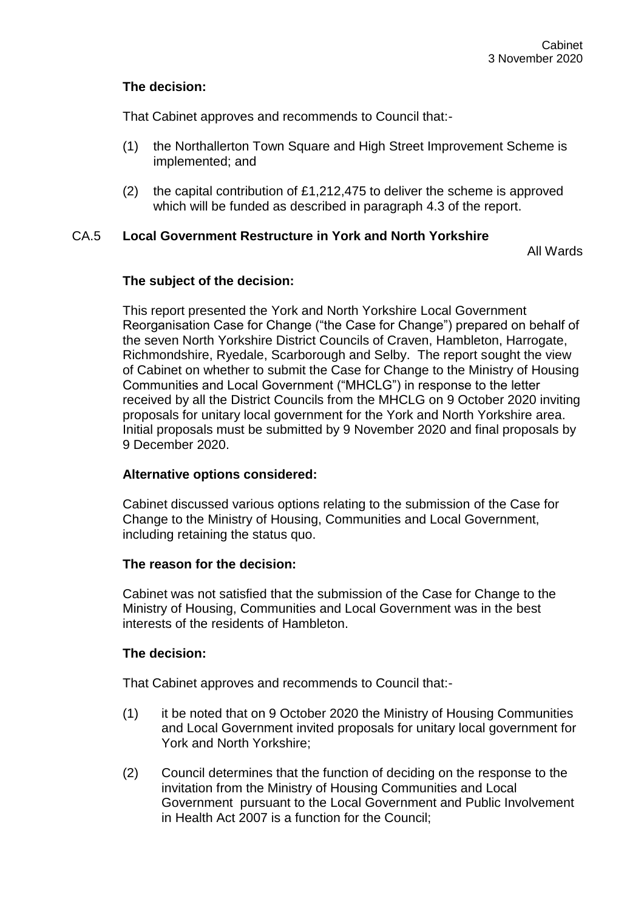# **The decision:**

That Cabinet approves and recommends to Council that:-

- (1) the Northallerton Town Square and High Street Improvement Scheme is implemented; and
- (2) the capital contribution of £1,212,475 to deliver the scheme is approved which will be funded as described in paragraph 4.3 of the report.

## CA.5 **Local Government Restructure in York and North Yorkshire**

All Wards

## **The subject of the decision:**

This report presented the York and North Yorkshire Local Government Reorganisation Case for Change ("the Case for Change") prepared on behalf of the seven North Yorkshire District Councils of Craven, Hambleton, Harrogate, Richmondshire, Ryedale, Scarborough and Selby. The report sought the view of Cabinet on whether to submit the Case for Change to the Ministry of Housing Communities and Local Government ("MHCLG") in response to the letter received by all the District Councils from the MHCLG on 9 October 2020 inviting proposals for unitary local government for the York and North Yorkshire area. Initial proposals must be submitted by 9 November 2020 and final proposals by 9 December 2020.

# **Alternative options considered:**

Cabinet discussed various options relating to the submission of the Case for Change to the Ministry of Housing, Communities and Local Government, including retaining the status quo.

### **The reason for the decision:**

Cabinet was not satisfied that the submission of the Case for Change to the Ministry of Housing, Communities and Local Government was in the best interests of the residents of Hambleton.

# **The decision:**

That Cabinet approves and recommends to Council that:-

- (1) it be noted that on 9 October 2020 the Ministry of Housing Communities and Local Government invited proposals for unitary local government for York and North Yorkshire;
- (2) Council determines that the function of deciding on the response to the invitation from the Ministry of Housing Communities and Local Government pursuant to the Local Government and Public Involvement in Health Act 2007 is a function for the Council;